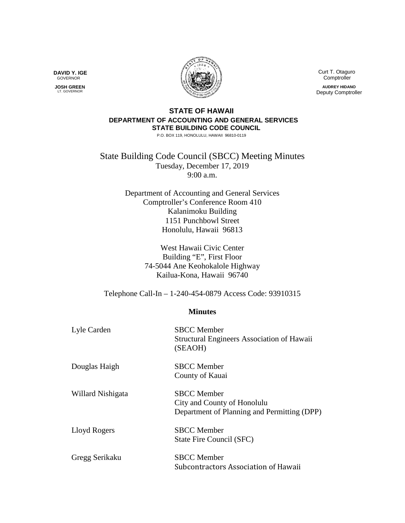Curt T. Otaguro Comptroller

**AUDREY HIDANO** Deputy Comptroller

## **STATE OF HAWAII DEPARTMENT OF ACCOUNTING AND GENERAL SERVICES STATE BUILDING CODE COUNCIL**

P.O. BOX 119, HONOLULU, HAWAII 96810-0119

State Building Code Council (SBCC) Meeting Minutes Tuesday, December 17, 2019 9:00 a.m.

> Department of Accounting and General Services Comptroller's Conference Room 410 Kalanimoku Building 1151 Punchbowl Street Honolulu, Hawaii 96813

> > West Hawaii Civic Center Building "E", First Floor 74-5044 Ane Keohokalole Highway Kailua-Kona, Hawaii 96740

Telephone Call-In – 1-240-454-0879 Access Code: 93910315

## **Minutes**

| Lyle Carden       | <b>SBCC</b> Member<br><b>Structural Engineers Association of Hawaii</b><br>(SEAOH)               |
|-------------------|--------------------------------------------------------------------------------------------------|
| Douglas Haigh     | <b>SBCC</b> Member<br>County of Kauai                                                            |
| Willard Nishigata | <b>SBCC</b> Member<br>City and County of Honolulu<br>Department of Planning and Permitting (DPP) |
| Lloyd Rogers      | <b>SBCC</b> Member<br>State Fire Council (SFC)                                                   |
| Gregg Serikaku    | <b>SBCC</b> Member<br>Subcontractors Association of Hawaii                                       |



 **JOSH GREEN** LT. GOVERNOR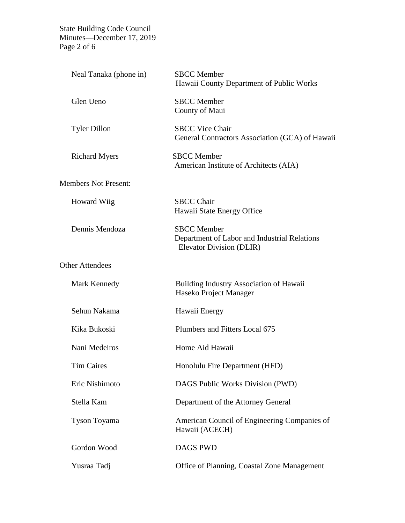State Building Code Council Minutes—December 17, 2019 Page 2 of 6

| Neal Tanaka (phone in)      | <b>SBCC</b> Member<br>Hawaii County Department of Public Works                                 |
|-----------------------------|------------------------------------------------------------------------------------------------|
| Glen Ueno                   | <b>SBCC</b> Member<br>County of Maui                                                           |
| <b>Tyler Dillon</b>         | <b>SBCC Vice Chair</b><br>General Contractors Association (GCA) of Hawaii                      |
| <b>Richard Myers</b>        | <b>SBCC</b> Member<br>American Institute of Architects (AIA)                                   |
| <b>Members Not Present:</b> |                                                                                                |
| <b>Howard Wiig</b>          | <b>SBCC</b> Chair<br>Hawaii State Energy Office                                                |
| Dennis Mendoza              | <b>SBCC</b> Member<br>Department of Labor and Industrial Relations<br>Elevator Division (DLIR) |
| <b>Other Attendees</b>      |                                                                                                |
| Mark Kennedy                | <b>Building Industry Association of Hawaii</b><br>Haseko Project Manager                       |
| Sehun Nakama                | Hawaii Energy                                                                                  |
| Kika Bukoski                | Plumbers and Fitters Local 675                                                                 |
| Nani Medeiros               | Home Aid Hawaii                                                                                |
| <b>Tim Caires</b>           | Honolulu Fire Department (HFD)                                                                 |
| Eric Nishimoto              | DAGS Public Works Division (PWD)                                                               |
| Stella Kam                  | Department of the Attorney General                                                             |
| Tyson Toyama                | American Council of Engineering Companies of<br>Hawaii (ACECH)                                 |
| Gordon Wood                 | <b>DAGS PWD</b>                                                                                |
| Yusraa Tadj                 | Office of Planning, Coastal Zone Management                                                    |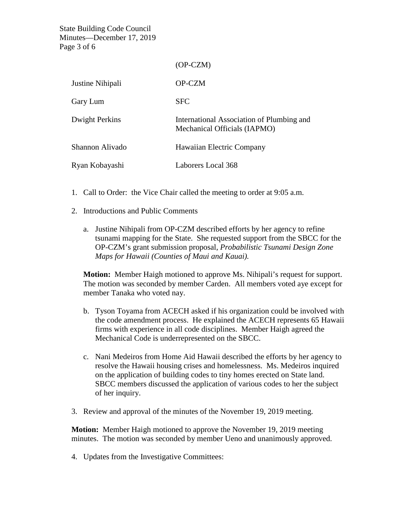State Building Code Council Minutes—December 17, 2019 Page 3 of 6

|                  | $(OP-CZM)$                                                                |
|------------------|---------------------------------------------------------------------------|
| Justine Nihipali | <b>OP-CZM</b>                                                             |
| Gary Lum         | <b>SFC</b>                                                                |
| Dwight Perkins   | International Association of Plumbing and<br>Mechanical Officials (IAPMO) |
| Shannon Alivado  | Hawaiian Electric Company                                                 |
| Ryan Kobayashi   | Laborers Local 368                                                        |

- 1. Call to Order: the Vice Chair called the meeting to order at 9:05 a.m.
- 2. Introductions and Public Comments
	- a. Justine Nihipali from OP-CZM described efforts by her agency to refine tsunami mapping for the State. She requested support from the SBCC for the OP-CZM's grant submission proposal, *Probabilistic Tsunami Design Zone Maps for Hawaii (Counties of Maui and Kauai).*

**Motion:** Member Haigh motioned to approve Ms. Nihipali's request for support. The motion was seconded by member Carden. All members voted aye except for member Tanaka who voted nay.

- b. Tyson Toyama from ACECH asked if his organization could be involved with the code amendment process. He explained the ACECH represents 65 Hawaii firms with experience in all code disciplines. Member Haigh agreed the Mechanical Code is underrepresented on the SBCC.
- c. Nani Medeiros from Home Aid Hawaii described the efforts by her agency to resolve the Hawaii housing crises and homelessness. Ms. Medeiros inquired on the application of building codes to tiny homes erected on State land. SBCC members discussed the application of various codes to her the subject of her inquiry.
- 3. Review and approval of the minutes of the November 19, 2019 meeting.

**Motion:** Member Haigh motioned to approve the November 19, 2019 meeting minutes. The motion was seconded by member Ueno and unanimously approved.

4. Updates from the Investigative Committees: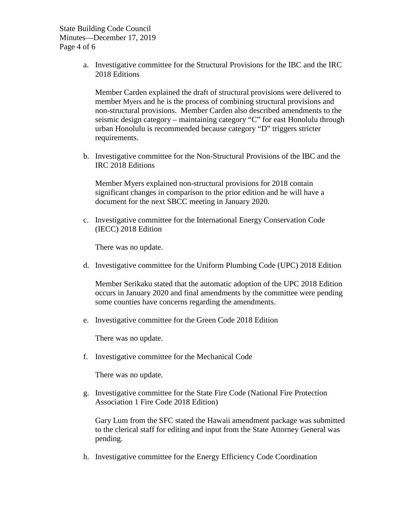State Building Code Council Minutes—December 17, 2019 Page 4 of 6

> a. Investigative committee for the Structural Provisions for the IBC and the IRC 2018 Editions

Member Carden explained the draft of structural provisions were delivered to member Myers and he is the process of combining structural provisions and non-structural provisions. Member Carden also described amendments to the seismic design category – maintaining category "C" for east Honolulu through urban Honolulu is recommended because category "D" triggers stricter requirements.

b. Investigative committee for the Non-Structural Provisions of the IBC and the IRC 2018 Editions

Member Myers explained non-structural provisions for 2018 contain significant changes in comparison to the prior edition and he will have a document for the next SBCC meeting in January 2020.

c. Investigative committee for the International Energy Conservation Code (IECC) 2018 Edition

There was no update.

d. Investigative committee for the Uniform Plumbing Code (UPC) 2018 Edition

Member Serikaku stated that the automatic adoption of the UPC 2018 Edition occurs in January 2020 and final amendments by the committee were pending some counties have concerns regarding the amendments.

e. Investigative committee for the Green Code 2018 Edition

There was no update.

f. Investigative committee for the Mechanical Code

There was no update.

g. Investigative committee for the State Fire Code (National Fire Protection Association 1 Fire Code 2018 Edition)

Gary Lum from the SFC stated the Hawaii amendment package was submitted to the clerical staff for editing and input from the State Attorney General was pending.

h. Investigative committee for the Energy Efficiency Code Coordination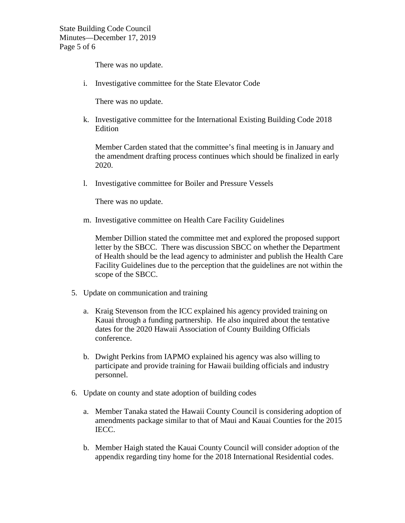State Building Code Council Minutes—December 17, 2019 Page 5 of 6

There was no update.

i. Investigative committee for the State Elevator Code

There was no update.

k. Investigative committee for the International Existing Building Code 2018 Edition

Member Carden stated that the committee's final meeting is in January and the amendment drafting process continues which should be finalized in early 2020.

l. Investigative committee for Boiler and Pressure Vessels

There was no update.

m. Investigative committee on Health Care Facility Guidelines

Member Dillion stated the committee met and explored the proposed support letter by the SBCC. There was discussion SBCC on whether the Department of Health should be the lead agency to administer and publish the Health Care Facility Guidelines due to the perception that the guidelines are not within the scope of the SBCC.

- 5. Update on communication and training
	- a. Kraig Stevenson from the ICC explained his agency provided training on Kauai through a funding partnership. He also inquired about the tentative dates for the 2020 Hawaii Association of County Building Officials conference.
	- b. Dwight Perkins from IAPMO explained his agency was also willing to participate and provide training for Hawaii building officials and industry personnel.
- 6. Update on county and state adoption of building codes
	- a. Member Tanaka stated the Hawaii County Council is considering adoption of amendments package similar to that of Maui and Kauai Counties for the 2015 IECC.
	- b. Member Haigh stated the Kauai County Council will consider adoption of the appendix regarding tiny home for the 2018 International Residential codes.